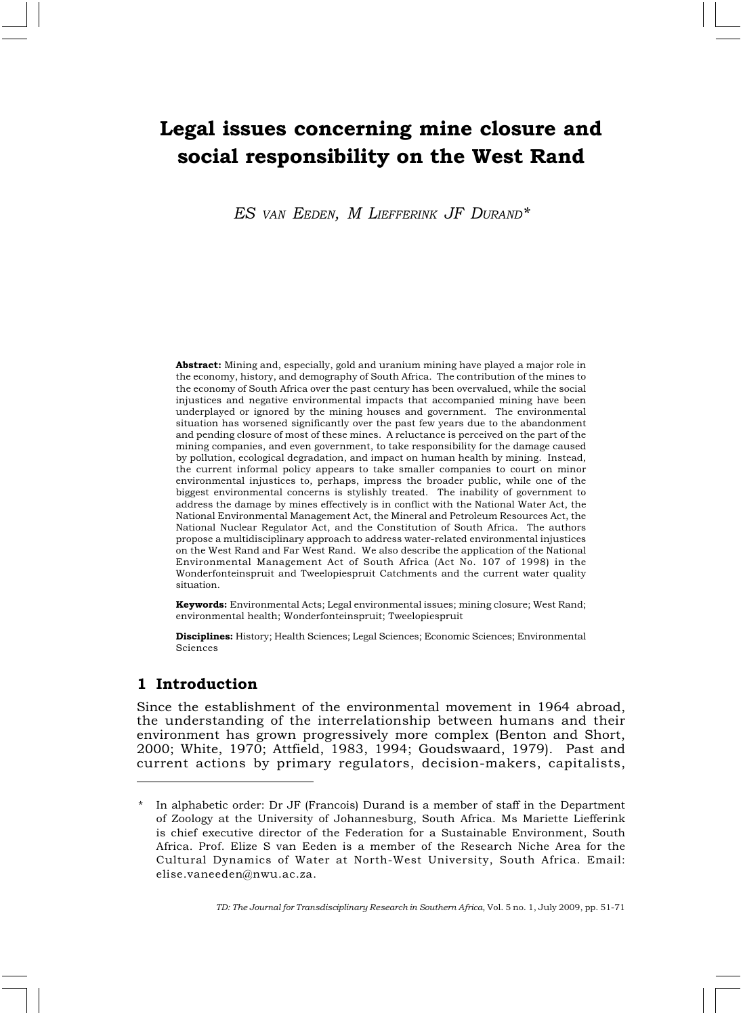# Legal issues concerning mine closure and social responsibility on the West Rand

ES VAN EEDEN, M LIEFFERINK JF DURAND\*

Abstract: Mining and, especially, gold and uranium mining have played a major role in the economy, history, and demography of South Africa. The contribution of the mines to the economy of South Africa over the past century has been overvalued, while the social injustices and negative environmental impacts that accompanied mining have been underplayed or ignored by the mining houses and government. The environmental situation has worsened significantly over the past few years due to the abandonment and pending closure of most of these mines. A reluctance is perceived on the part of the mining companies, and even government, to take responsibility for the damage caused by pollution, ecological degradation, and impact on human health by mining. Instead, the current informal policy appears to take smaller companies to court on minor environmental injustices to, perhaps, impress the broader public, while one of the biggest environmental concerns is stylishly treated. The inability of government to address the damage by mines effectively is in conflict with the National Water Act, the National Environmental Management Act, the Mineral and Petroleum Resources Act, the National Nuclear Regulator Act, and the Constitution of South Africa. The authors propose a multidisciplinary approach to address water-related environmental injustices on the West Rand and Far West Rand. We also describe the application of the National Environmental Management Act of South Africa (Act No. 107 of 1998) in the Wonderfonteinspruit and Tweelopiespruit Catchments and the current water quality situation.

Keywords: Environmental Acts; Legal environmental issues; mining closure; West Rand; environmental health; Wonderfonteinspruit; Tweelopiespruit

Disciplines: History; Health Sciences; Legal Sciences; Economic Sciences; Environmental Sciences

## 1 Introduction

Since the establishment of the environmental movement in 1964 abroad, the understanding of the interrelationship between humans and their environment has grown progressively more complex (Benton and Short, 2000; White, 1970; Attfield, 1983, 1994; Goudswaard, 1979). Past and current actions by primary regulators, decision-makers, capitalists,

TD: The Journal for Transdisciplinary Research in Southern Africa, Vol. 5 no. 1, July 2009, pp. 51-71

In alphabetic order: Dr JF (Francois) Durand is a member of staff in the Department of Zoology at the University of Johannesburg, South Africa. Ms Mariette Liefferink is chief executive director of the Federation for a Sustainable Environment, South Africa. Prof. Elize S van Eeden is a member of the Research Niche Area for the Cultural Dynamics of Water at North-West University, South Africa. Email: elise.vaneeden@nwu.ac.za.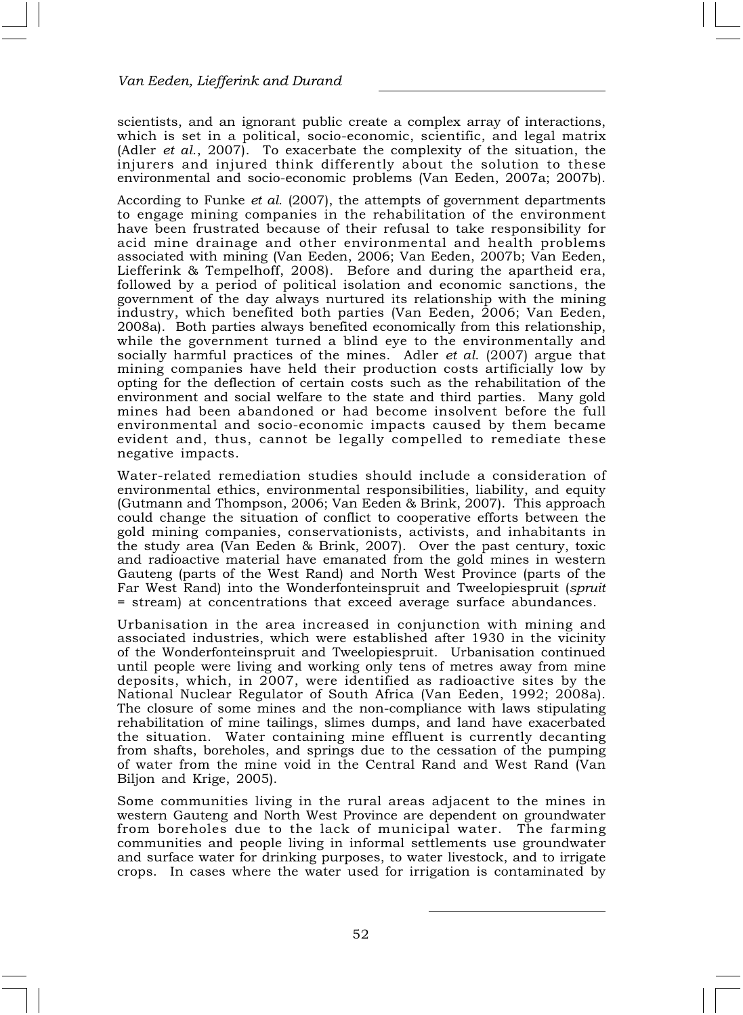scientists, and an ignorant public create a complex array of interactions, which is set in a political, socio-economic, scientific, and legal matrix (Adler et al., 2007). To exacerbate the complexity of the situation, the injurers and injured think differently about the solution to these environmental and socio-economic problems (Van Eeden, 2007a; 2007b).

According to Funke et al. (2007), the attempts of government departments to engage mining companies in the rehabilitation of the environment have been frustrated because of their refusal to take responsibility for acid mine drainage and other environmental and health problems associated with mining (Van Eeden, 2006; Van Eeden, 2007b; Van Eeden, Liefferink & Tempelhoff, 2008). Before and during the apartheid era, followed by a period of political isolation and economic sanctions, the government of the day always nurtured its relationship with the mining industry, which benefited both parties (Van Eeden, 2006; Van Eeden, 2008a). Both parties always benefited economically from this relationship, while the government turned a blind eye to the environmentally and socially harmful practices of the mines. Adler et al. (2007) argue that mining companies have held their production costs artificially low by opting for the deflection of certain costs such as the rehabilitation of the environment and social welfare to the state and third parties. Many gold mines had been abandoned or had become insolvent before the full environmental and socio-economic impacts caused by them became evident and, thus, cannot be legally compelled to remediate these negative impacts.

Water-related remediation studies should include a consideration of environmental ethics, environmental responsibilities, liability, and equity (Gutmann and Thompson, 2006; Van Eeden & Brink, 2007). This approach could change the situation of conflict to cooperative efforts between the gold mining companies, conservationists, activists, and inhabitants in the study area (Van Eeden & Brink, 2007). Over the past century, toxic and radioactive material have emanated from the gold mines in western Gauteng (parts of the West Rand) and North West Province (parts of the Far West Rand) into the Wonderfonteinspruit and Tweelopiespruit (spruit = stream) at concentrations that exceed average surface abundances.

Urbanisation in the area increased in conjunction with mining and associated industries, which were established after 1930 in the vicinity of the Wonderfonteinspruit and Tweelopiespruit. Urbanisation continued until people were living and working only tens of metres away from mine deposits, which, in 2007, were identified as radioactive sites by the National Nuclear Regulator of South Africa (Van Eeden, 1992; 2008a). The closure of some mines and the non-compliance with laws stipulating rehabilitation of mine tailings, slimes dumps, and land have exacerbated the situation. Water containing mine effluent is currently decanting from shafts, boreholes, and springs due to the cessation of the pumping of water from the mine void in the Central Rand and West Rand (Van Biljon and Krige, 2005).

Some communities living in the rural areas adjacent to the mines in western Gauteng and North West Province are dependent on groundwater from boreholes due to the lack of municipal water. The farming communities and people living in informal settlements use groundwater and surface water for drinking purposes, to water livestock, and to irrigate crops. In cases where the water used for irrigation is contaminated by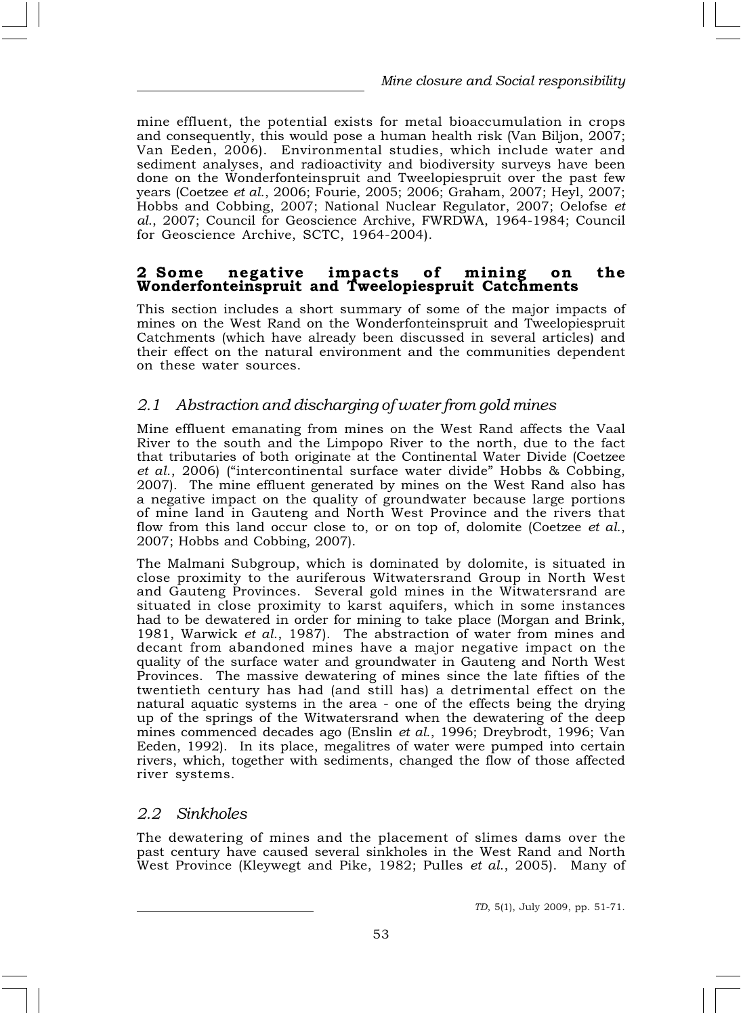mine effluent, the potential exists for metal bioaccumulation in crops and consequently, this would pose a human health risk (Van Biljon, 2007; Van Eeden, 2006). Environmental studies, which include water and sediment analyses, and radioactivity and biodiversity surveys have been done on the Wonderfonteinspruit and Tweelopiespruit over the past few years (Coetzee et al., 2006; Fourie, 2005; 2006; Graham, 2007; Heyl, 2007; Hobbs and Cobbing, 2007; National Nuclear Regulator, 2007; Oelofse et al., 2007; Council for Geoscience Archive, FWRDWA, 1964-1984; Council for Geoscience Archive, SCTC, 1964-2004).

#### 2 Some negative impacts of mining on the Wonderfonteinspruit and Tweelopiespruit Catchments

This section includes a short summary of some of the major impacts of mines on the West Rand on the Wonderfonteinspruit and Tweelopiespruit Catchments (which have already been discussed in several articles) and their effect on the natural environment and the communities dependent on these water sources.

## 2.1 Abstraction and discharging of water from gold mines

Mine effluent emanating from mines on the West Rand affects the Vaal River to the south and the Limpopo River to the north, due to the fact that tributaries of both originate at the Continental Water Divide (Coetzee et al., 2006) ("intercontinental surface water divide" Hobbs & Cobbing, 2007). The mine effluent generated by mines on the West Rand also has a negative impact on the quality of groundwater because large portions of mine land in Gauteng and North West Province and the rivers that flow from this land occur close to, or on top of, dolomite (Coetzee *et al.*, 2007; Hobbs and Cobbing, 2007).

The Malmani Subgroup, which is dominated by dolomite, is situated in close proximity to the auriferous Witwatersrand Group in North West and Gauteng Provinces. Several gold mines in the Witwatersrand are situated in close proximity to karst aquifers, which in some instances had to be dewatered in order for mining to take place (Morgan and Brink, 1981, Warwick et al., 1987). The abstraction of water from mines and decant from abandoned mines have a major negative impact on the quality of the surface water and groundwater in Gauteng and North West Provinces. The massive dewatering of mines since the late fifties of the twentieth century has had (and still has) a detrimental effect on the natural aquatic systems in the area - one of the effects being the drying up of the springs of the Witwatersrand when the dewatering of the deep mines commenced decades ago (Enslin et al., 1996; Dreybrodt, 1996; Van Eeden, 1992). In its place, megalitres of water were pumped into certain rivers, which, together with sediments, changed the flow of those affected river systems.

#### 2.2 Sinkholes

The dewatering of mines and the placement of slimes dams over the past century have caused several sinkholes in the West Rand and North West Province (Kleywegt and Pike, 1982; Pulles et al., 2005). Many of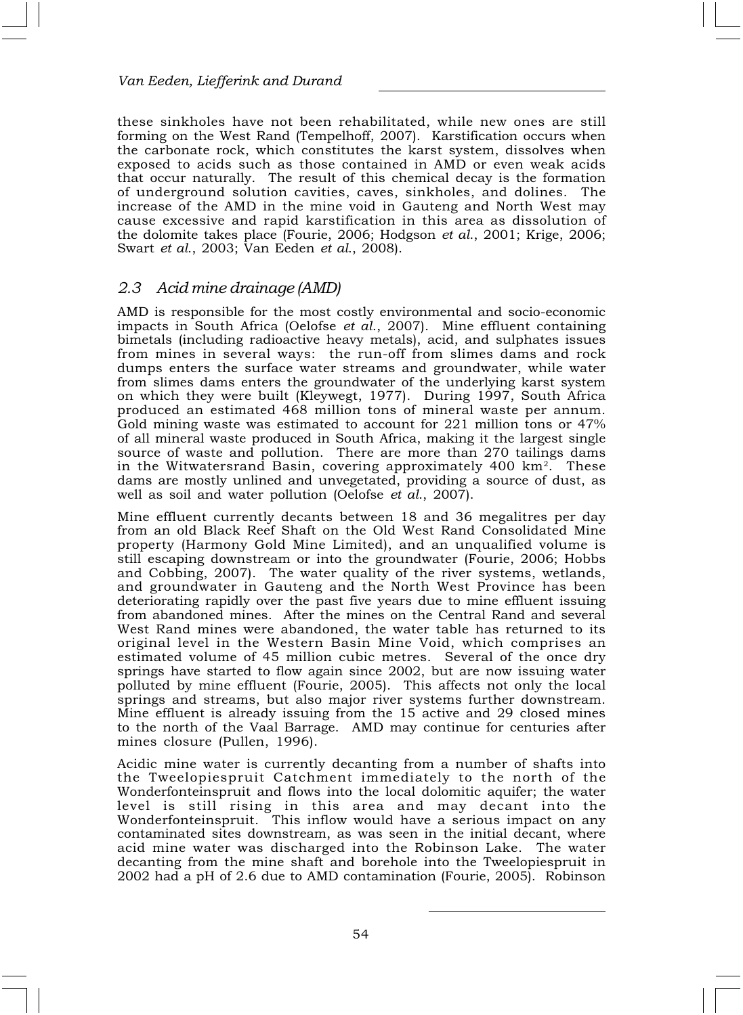these sinkholes have not been rehabilitated, while new ones are still forming on the West Rand (Tempelhoff, 2007). Karstification occurs when the carbonate rock, which constitutes the karst system, dissolves when exposed to acids such as those contained in AMD or even weak acids that occur naturally. The result of this chemical decay is the formation of underground solution cavities, caves, sinkholes, and dolines. The increase of the AMD in the mine void in Gauteng and North West may cause excessive and rapid karstification in this area as dissolution of the dolomite takes place (Fourie, 2006; Hodgson et al., 2001; Krige, 2006; Swart et al., 2003; Van Eeden et al., 2008).

### 2.3 Acid mine drainage (AMD)

AMD is responsible for the most costly environmental and socio-economic impacts in South Africa (Oelofse et al., 2007). Mine effluent containing bimetals (including radioactive heavy metals), acid, and sulphates issues from mines in several ways: the run-off from slimes dams and rock dumps enters the surface water streams and groundwater, while water from slimes dams enters the groundwater of the underlying karst system on which they were built (Kleywegt, 1977). During 1997, South Africa produced an estimated 468 million tons of mineral waste per annum. Gold mining waste was estimated to account for 221 million tons or 47% of all mineral waste produced in South Africa, making it the largest single source of waste and pollution. There are more than 270 tailings dams in the Witwatersrand Basin, covering approximately 400 km<sup>2</sup>. These dams are mostly unlined and unvegetated, providing a source of dust, as well as soil and water pollution (Oelofse et al., 2007).

Mine effluent currently decants between 18 and 36 megalitres per day from an old Black Reef Shaft on the Old West Rand Consolidated Mine property (Harmony Gold Mine Limited), and an unqualified volume is still escaping downstream or into the groundwater (Fourie, 2006; Hobbs and Cobbing, 2007). The water quality of the river systems, wetlands, and groundwater in Gauteng and the North West Province has been deteriorating rapidly over the past five years due to mine effluent issuing from abandoned mines. After the mines on the Central Rand and several West Rand mines were abandoned, the water table has returned to its original level in the Western Basin Mine Void, which comprises an estimated volume of 45 million cubic metres. Several of the once dry springs have started to flow again since 2002, but are now issuing water polluted by mine effluent (Fourie, 2005). This affects not only the local springs and streams, but also major river systems further downstream. Mine effluent is already issuing from the 15 active and 29 closed mines to the north of the Vaal Barrage. AMD may continue for centuries after mines closure (Pullen, 1996).

Acidic mine water is currently decanting from a number of shafts into the Tweelopiespruit Catchment immediately to the north of the Wonderfonteinspruit and flows into the local dolomitic aquifer; the water level is still rising in this area and may decant into the Wonderfonteinspruit. This inflow would have a serious impact on any contaminated sites downstream, as was seen in the initial decant, where acid mine water was discharged into the Robinson Lake. The water decanting from the mine shaft and borehole into the Tweelopiespruit in 2002 had a pH of 2.6 due to AMD contamination (Fourie, 2005). Robinson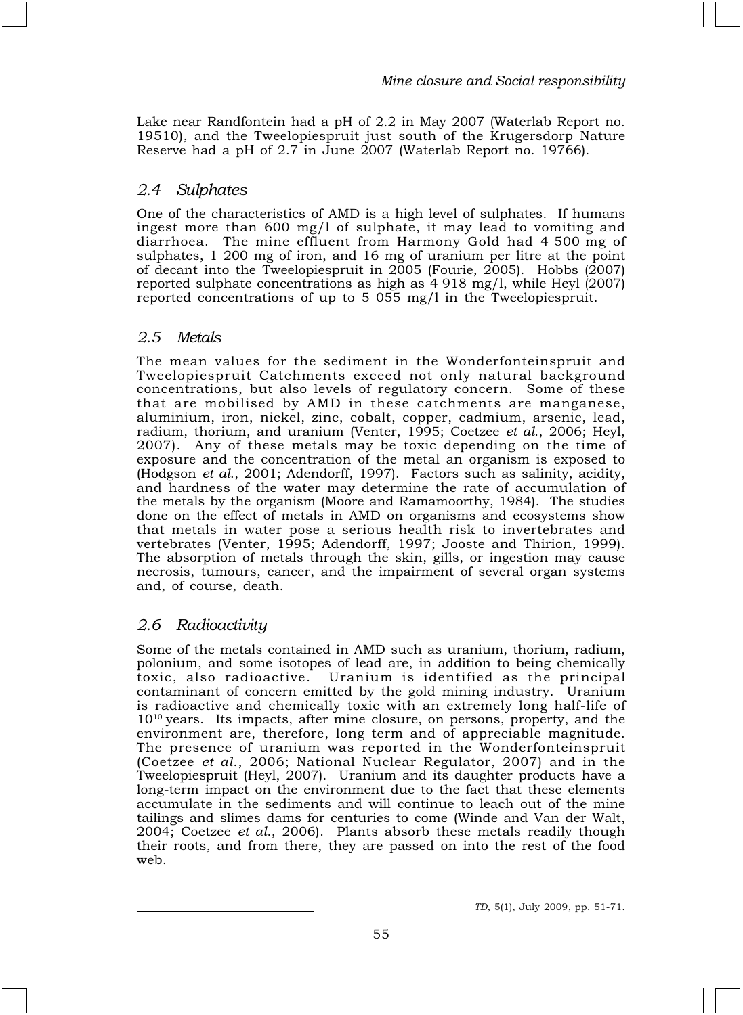Lake near Randfontein had a pH of 2.2 in May 2007 (Waterlab Report no. 19510), and the Tweelopiespruit just south of the Krugersdorp Nature Reserve had a pH of 2.7 in June 2007 (Waterlab Report no. 19766).

## 2.4 Sulphates

One of the characteristics of AMD is a high level of sulphates. If humans ingest more than 600 mg/l of sulphate, it may lead to vomiting and diarrhoea. The mine effluent from Harmony Gold had 4 500 mg of sulphates, 1 200 mg of iron, and 16 mg of uranium per litre at the point of decant into the Tweelopiespruit in 2005 (Fourie, 2005). Hobbs (2007) reported sulphate concentrations as high as 4 918 mg/l, while Heyl (2007) reported concentrations of up to 5 055 mg/l in the Tweelopiespruit.

## 2.5 Metals

The mean values for the sediment in the Wonderfonteinspruit and Tweelopiespruit Catchments exceed not only natural background concentrations, but also levels of regulatory concern. Some of these that are mobilised by AMD in these catchments are manganese, aluminium, iron, nickel, zinc, cobalt, copper, cadmium, arsenic, lead, radium, thorium, and uranium (Venter, 1995; Coetzee et al., 2006; Heyl, 2007). Any of these metals may be toxic depending on the time of exposure and the concentration of the metal an organism is exposed to (Hodgson et al., 2001; Adendorff, 1997). Factors such as salinity, acidity, and hardness of the water may determine the rate of accumulation of the metals by the organism (Moore and Ramamoorthy, 1984). The studies done on the effect of metals in AMD on organisms and ecosystems show that metals in water pose a serious health risk to invertebrates and vertebrates (Venter, 1995; Adendorff, 1997; Jooste and Thirion, 1999). The absorption of metals through the skin, gills, or ingestion may cause necrosis, tumours, cancer, and the impairment of several organ systems and, of course, death.

# 2.6 Radioactivity

Some of the metals contained in AMD such as uranium, thorium, radium, polonium, and some isotopes of lead are, in addition to being chemically toxic, also radioactive. Uranium is identified as the principal contaminant of concern emitted by the gold mining industry. Uranium is radioactive and chemically toxic with an extremely long half-life of  $10^{10}$  years. Its impacts, after mine closure, on persons, property, and the environment are, therefore, long term and of appreciable magnitude. The presence of uranium was reported in the Wonderfonteinspruit (Coetzee et al., 2006; National Nuclear Regulator, 2007) and in the Tweelopiespruit (Heyl, 2007). Uranium and its daughter products have a long-term impact on the environment due to the fact that these elements accumulate in the sediments and will continue to leach out of the mine tailings and slimes dams for centuries to come (Winde and Van der Walt, 2004; Coetzee *et al.*, 2006). Plants absorb these metals readily though their roots, and from there, they are passed on into the rest of the food web.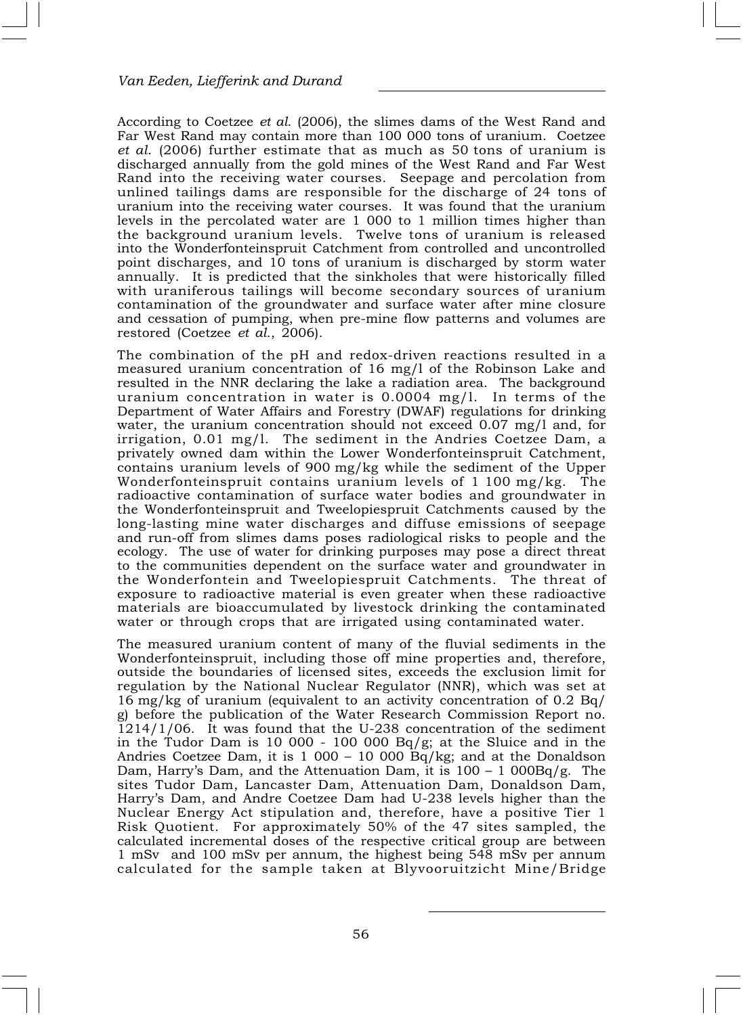According to Coetzee et al. (2006), the slimes dams of the West Rand and Far West Rand may contain more than 100 000 tons of uranium. Coetzee et al. (2006) further estimate that as much as 50 tons of uranium is discharged annually from the gold mines of the West Rand and Far West Rand into the receiving water courses. Seepage and percolation from unlined tailings dams are responsible for the discharge of 24 tons of uranium into the receiving water courses. It was found that the uranium levels in the percolated water are 1 000 to 1 million times higher than the background uranium levels. Twelve tons of uranium is released into the Wonderfonteinspruit Catchment from controlled and uncontrolled point discharges, and 10 tons of uranium is discharged by storm water annually. It is predicted that the sinkholes that were historically filled with uraniferous tailings will become secondary sources of uranium contamination of the groundwater and surface water after mine closure and cessation of pumping, when pre-mine flow patterns and volumes are restored (Coetzee et al., 2006).

The combination of the pH and redox-driven reactions resulted in a measured uranium concentration of 16 mg/l of the Robinson Lake and resulted in the NNR declaring the lake a radiation area. The background uranium concentration in water is 0.0004 mg/l. In terms of the Department of Water Affairs and Forestry (DWAF) regulations for drinking water, the uranium concentration should not exceed 0.07 mg/l and, for irrigation, 0.01 mg/l. The sediment in the Andries Coetzee Dam, a privately owned dam within the Lower Wonderfonteinspruit Catchment, contains uranium levels of 900 mg/kg while the sediment of the Upper Wonderfonteinspruit contains uranium levels of 1 100 mg/kg. The radioactive contamination of surface water bodies and groundwater in the Wonderfonteinspruit and Tweelopiespruit Catchments caused by the long-lasting mine water discharges and diffuse emissions of seepage and run-off from slimes dams poses radiological risks to people and the ecology. The use of water for drinking purposes may pose a direct threat to the communities dependent on the surface water and groundwater in the Wonderfontein and Tweelopiespruit Catchments. The threat of exposure to radioactive material is even greater when these radioactive materials are bioaccumulated by livestock drinking the contaminated water or through crops that are irrigated using contaminated water.

The measured uranium content of many of the fluvial sediments in the Wonderfonteinspruit, including those off mine properties and, therefore, outside the boundaries of licensed sites, exceeds the exclusion limit for regulation by the National Nuclear Regulator (NNR), which was set at 16 mg/kg of uranium (equivalent to an activity concentration of 0.2 Bq/ g) before the publication of the Water Research Commission Report no.  $1214/1/06$ . It was found that the U-238 concentration of the sediment in the Tudor Dam is 10 000 - 100 000 Bq/g; at the Sluice and in the Andries Coetzee Dam, it is  $1\,000 - 10\,000\,\text{Bg/kg}$ ; and at the Donaldson Dam, Harry's Dam, and the Attenuation Dam, it is  $100 - 1000Bq/g$ . The sites Tudor Dam, Lancaster Dam, Attenuation Dam, Donaldson Dam, Harry's Dam, and Andre Coetzee Dam had U-238 levels higher than the Nuclear Energy Act stipulation and, therefore, have a positive Tier 1 Risk Quotient. For approximately 50% of the 47 sites sampled, the calculated incremental doses of the respective critical group are between 1 mSv and 100 mSv per annum, the highest being 548 mSv per annum calculated for the sample taken at Blyvooruitzicht Mine/Bridge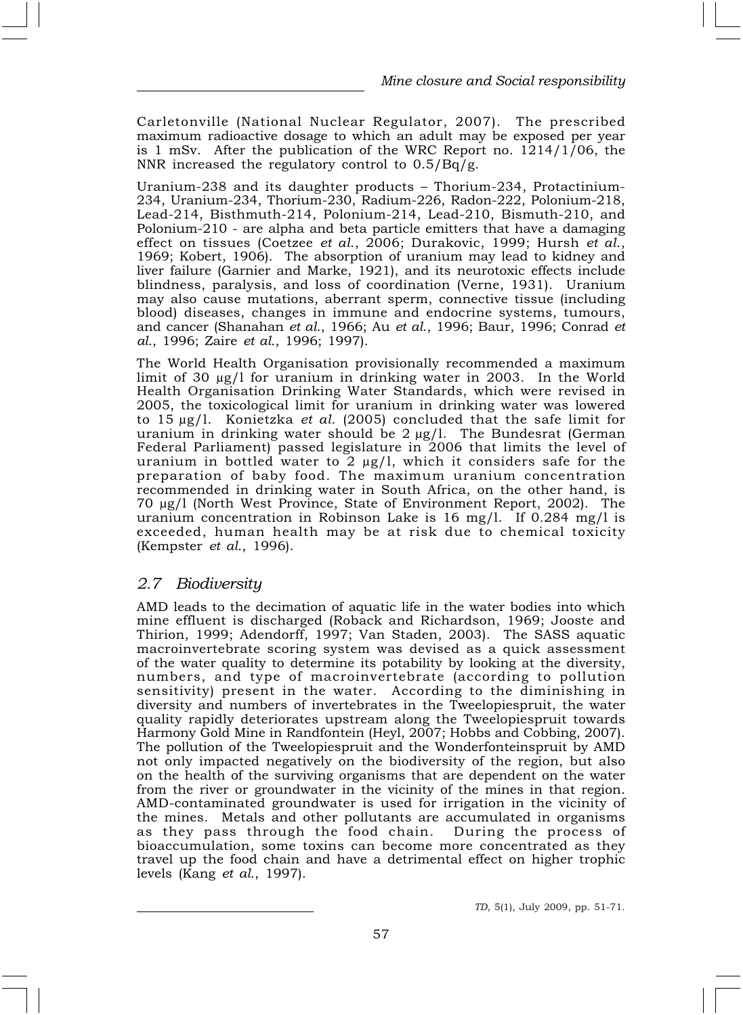Carletonville (National Nuclear Regulator, 2007). The prescribed maximum radioactive dosage to which an adult may be exposed per year is 1 mSv. After the publication of the WRC Report no. 1214/1/06, the NNR increased the regulatory control to 0.5/Bq/g.

Uranium-238 and its daughter products – Thorium-234, Protactinium-234, Uranium-234, Thorium-230, Radium-226, Radon-222, Polonium-218, Lead-214, Bisthmuth-214, Polonium-214, Lead-210, Bismuth-210, and Polonium-210 - are alpha and beta particle emitters that have a damaging effect on tissues (Coetzee et al., 2006; Durakovic, 1999; Hursh et al., 1969; Kobert, 1906). The absorption of uranium may lead to kidney and liver failure (Garnier and Marke, 1921), and its neurotoxic effects include blindness, paralysis, and loss of coordination (Verne, 1931). Uranium may also cause mutations, aberrant sperm, connective tissue (including blood) diseases, changes in immune and endocrine systems, tumours, and cancer (Shanahan et al., 1966; Au et al., 1996; Baur, 1996; Conrad et al., 1996; Zaire et al., 1996; 1997).

The World Health Organisation provisionally recommended a maximum limit of 30 μg/l for uranium in drinking water in 2003. In the World Health Organisation Drinking Water Standards, which were revised in 2005, the toxicological limit for uranium in drinking water was lowered to 15  $\mu$ g/l. Konietzka *et al.* (2005) concluded that the safe limit for uranium in drinking water should be 2 μg/l. The Bundesrat (German Federal Parliament) passed legislature in 2006 that limits the level of uranium in bottled water to 2 μg/l, which it considers safe for the preparation of baby food. The maximum uranium concentration recommended in drinking water in South Africa, on the other hand, is 70 μg/l (North West Province, State of Environment Report, 2002). The uranium concentration in Robinson Lake is 16 mg/l. If 0.284 mg/l is exceeded, human health may be at risk due to chemical toxicity (Kempster et al., 1996).

#### 2.7 Biodiversity

AMD leads to the decimation of aquatic life in the water bodies into which mine effluent is discharged (Roback and Richardson, 1969; Jooste and Thirion, 1999; Adendorff, 1997; Van Staden, 2003). The SASS aquatic macroinvertebrate scoring system was devised as a quick assessment of the water quality to determine its potability by looking at the diversity, numbers, and type of macroinvertebrate (according to pollution sensitivity) present in the water. According to the diminishing in diversity and numbers of invertebrates in the Tweelopiespruit, the water quality rapidly deteriorates upstream along the Tweelopiespruit towards Harmony Gold Mine in Randfontein (Heyl, 2007; Hobbs and Cobbing, 2007). The pollution of the Tweelopiespruit and the Wonderfonteinspruit by AMD not only impacted negatively on the biodiversity of the region, but also on the health of the surviving organisms that are dependent on the water from the river or groundwater in the vicinity of the mines in that region. AMD-contaminated groundwater is used for irrigation in the vicinity of the mines. Metals and other pollutants are accumulated in organisms as they pass through the food chain. During the process of bioaccumulation, some toxins can become more concentrated as they travel up the food chain and have a detrimental effect on higher trophic levels (Kang et al., 1997).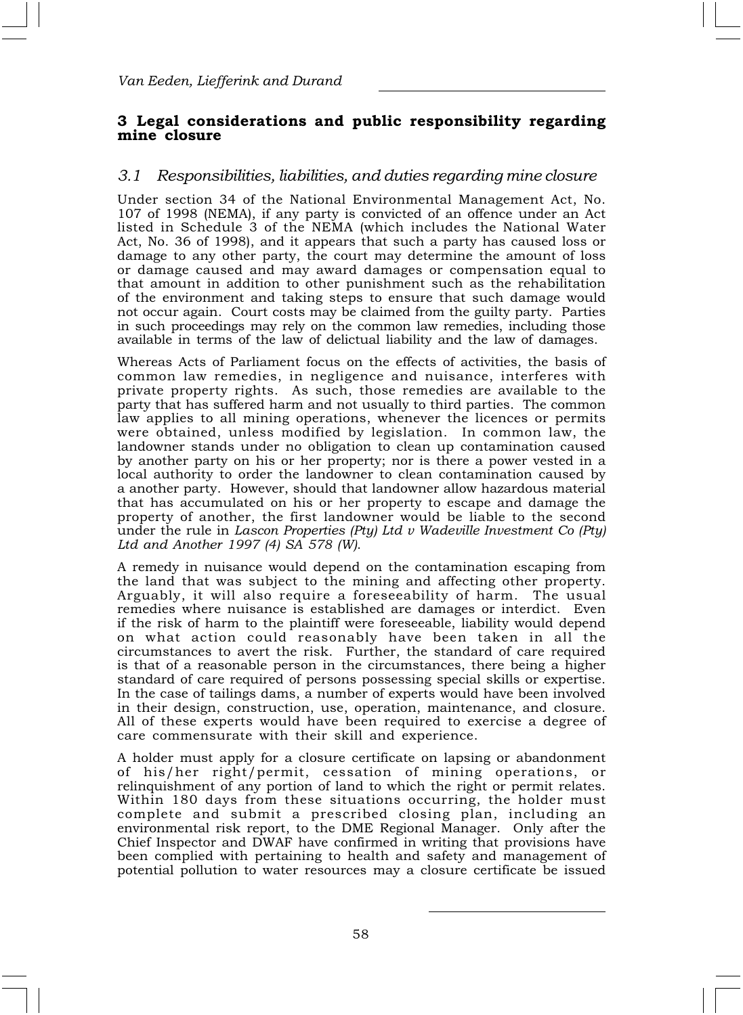## 3 Legal considerations and public responsibility regarding mine closure

## 3.1 Responsibilities, liabilities, and duties regarding mine closure

Under section 34 of the National Environmental Management Act, No. 107 of 1998 (NEMA), if any party is convicted of an offence under an Act listed in Schedule 3 of the NEMA (which includes the National Water Act, No. 36 of 1998), and it appears that such a party has caused loss or damage to any other party, the court may determine the amount of loss or damage caused and may award damages or compensation equal to that amount in addition to other punishment such as the rehabilitation of the environment and taking steps to ensure that such damage would not occur again. Court costs may be claimed from the guilty party. Parties in such proceedings may rely on the common law remedies, including those available in terms of the law of delictual liability and the law of damages.

Whereas Acts of Parliament focus on the effects of activities, the basis of common law remedies, in negligence and nuisance, interferes with private property rights. As such, those remedies are available to the party that has suffered harm and not usually to third parties. The common law applies to all mining operations, whenever the licences or permits were obtained, unless modified by legislation. In common law, the landowner stands under no obligation to clean up contamination caused by another party on his or her property; nor is there a power vested in a local authority to order the landowner to clean contamination caused by a another party. However, should that landowner allow hazardous material that has accumulated on his or her property to escape and damage the property of another, the first landowner would be liable to the second under the rule in Lascon Properties (Pty) Ltd v Wadeville Investment Co (Pty) Ltd and Another 1997 (4) SA 578 (W).

A remedy in nuisance would depend on the contamination escaping from the land that was subject to the mining and affecting other property. Arguably, it will also require a foreseeability of harm. The usual remedies where nuisance is established are damages or interdict. Even if the risk of harm to the plaintiff were foreseeable, liability would depend on what action could reasonably have been taken in all the circumstances to avert the risk. Further, the standard of care required is that of a reasonable person in the circumstances, there being a higher standard of care required of persons possessing special skills or expertise. In the case of tailings dams, a number of experts would have been involved in their design, construction, use, operation, maintenance, and closure. All of these experts would have been required to exercise a degree of care commensurate with their skill and experience.

A holder must apply for a closure certificate on lapsing or abandonment of his/her right/permit, cessation of mining operations, or relinquishment of any portion of land to which the right or permit relates. Within 180 days from these situations occurring, the holder must complete and submit a prescribed closing plan, including an environmental risk report, to the DME Regional Manager. Only after the Chief Inspector and DWAF have confirmed in writing that provisions have been complied with pertaining to health and safety and management of potential pollution to water resources may a closure certificate be issued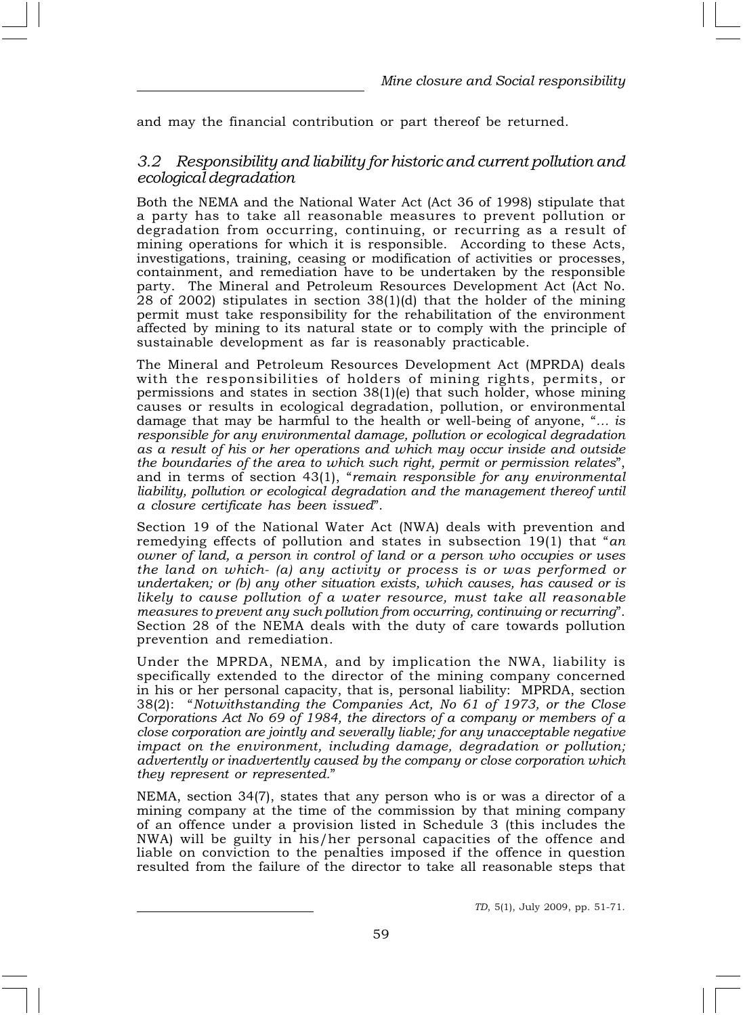and may the financial contribution or part thereof be returned.

## 3.2 Responsibility and liability for historic and current pollution and ecological degradation

Both the NEMA and the National Water Act (Act 36 of 1998) stipulate that a party has to take all reasonable measures to prevent pollution or degradation from occurring, continuing, or recurring as a result of mining operations for which it is responsible. According to these Acts, investigations, training, ceasing or modification of activities or processes, containment, and remediation have to be undertaken by the responsible party. The Mineral and Petroleum Resources Development Act (Act No. 28 of 2002) stipulates in section 38(1)(d) that the holder of the mining permit must take responsibility for the rehabilitation of the environment affected by mining to its natural state or to comply with the principle of sustainable development as far is reasonably practicable.

The Mineral and Petroleum Resources Development Act (MPRDA) deals with the responsibilities of holders of mining rights, permits, or permissions and states in section 38(1)(e) that such holder, whose mining causes or results in ecological degradation, pollution, or environmental damage that may be harmful to the health or well-being of anyone, "… is responsible for any environmental damage, pollution or ecological degradation as a result of his or her operations and which may occur inside and outside the boundaries of the area to which such right, permit or permission relates", and in terms of section 43(1), "remain responsible for any environmental liability, pollution or ecological degradation and the management thereof until a closure certificate has been issued".

Section 19 of the National Water Act (NWA) deals with prevention and remedying effects of pollution and states in subsection 19(1) that "an owner of land, a person in control of land or a person who occupies or uses the land on which- (a) any activity or process is or was performed or undertaken; or (b) any other situation exists, which causes, has caused or is likely to cause pollution of a water resource, must take all reasonable measures to prevent any such pollution from occurring, continuing or recurring". Section 28 of the NEMA deals with the duty of care towards pollution prevention and remediation.

Under the MPRDA, NEMA, and by implication the NWA, liability is specifically extended to the director of the mining company concerned in his or her personal capacity, that is, personal liability: MPRDA, section 38(2): "Notwithstanding the Companies Act, No 61 of 1973, or the Close Corporations Act No 69 of 1984, the directors of a company or members of a close corporation are jointly and severally liable; for any unacceptable negative impact on the environment, including damage, degradation or pollution; advertently or inadvertently caused by the company or close corporation which they represent or represented."

NEMA, section 34(7), states that any person who is or was a director of a mining company at the time of the commission by that mining company of an offence under a provision listed in Schedule 3 (this includes the NWA) will be guilty in his/her personal capacities of the offence and liable on conviction to the penalties imposed if the offence in question resulted from the failure of the director to take all reasonable steps that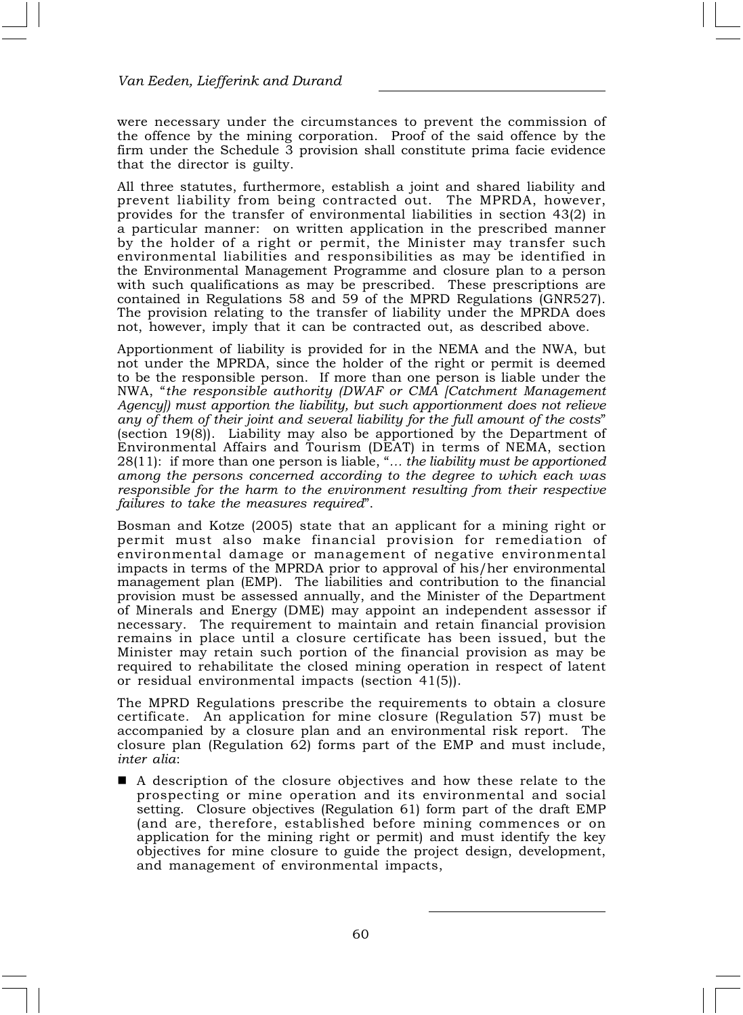were necessary under the circumstances to prevent the commission of the offence by the mining corporation. Proof of the said offence by the firm under the Schedule 3 provision shall constitute prima facie evidence that the director is guilty.

All three statutes, furthermore, establish a joint and shared liability and prevent liability from being contracted out. The MPRDA, however, provides for the transfer of environmental liabilities in section 43(2) in a particular manner: on written application in the prescribed manner by the holder of a right or permit, the Minister may transfer such environmental liabilities and responsibilities as may be identified in the Environmental Management Programme and closure plan to a person with such qualifications as may be prescribed. These prescriptions are contained in Regulations 58 and 59 of the MPRD Regulations (GNR527). The provision relating to the transfer of liability under the MPRDA does not, however, imply that it can be contracted out, as described above.

Apportionment of liability is provided for in the NEMA and the NWA, but not under the MPRDA, since the holder of the right or permit is deemed to be the responsible person. If more than one person is liable under the NWA, "the responsible authority (DWAF or CMA [Catchment Management Agency]) must apportion the liability, but such apportionment does not relieve any of them of their joint and several liability for the full amount of the costs" (section 19(8)). Liability may also be apportioned by the Department of Environmental Affairs and Tourism (DEAT) in terms of NEMA, section 28(11): if more than one person is liable, "… the liability must be apportioned among the persons concerned according to the degree to which each was responsible for the harm to the environment resulting from their respective failures to take the measures required".

Bosman and Kotze (2005) state that an applicant for a mining right or permit must also make financial provision for remediation of environmental damage or management of negative environmental impacts in terms of the MPRDA prior to approval of his/her environmental management plan (EMP). The liabilities and contribution to the financial provision must be assessed annually, and the Minister of the Department of Minerals and Energy (DME) may appoint an independent assessor if necessary. The requirement to maintain and retain financial provision remains in place until a closure certificate has been issued, but the Minister may retain such portion of the financial provision as may be required to rehabilitate the closed mining operation in respect of latent or residual environmental impacts (section 41(5)).

The MPRD Regulations prescribe the requirements to obtain a closure certificate. An application for mine closure (Regulation 57) must be accompanied by a closure plan and an environmental risk report. The closure plan (Regulation 62) forms part of the EMP and must include, inter alia:

■ A description of the closure objectives and how these relate to the prospecting or mine operation and its environmental and social setting. Closure objectives (Regulation 61) form part of the draft EMP (and are, therefore, established before mining commences or on application for the mining right or permit) and must identify the key objectives for mine closure to guide the project design, development, and management of environmental impacts,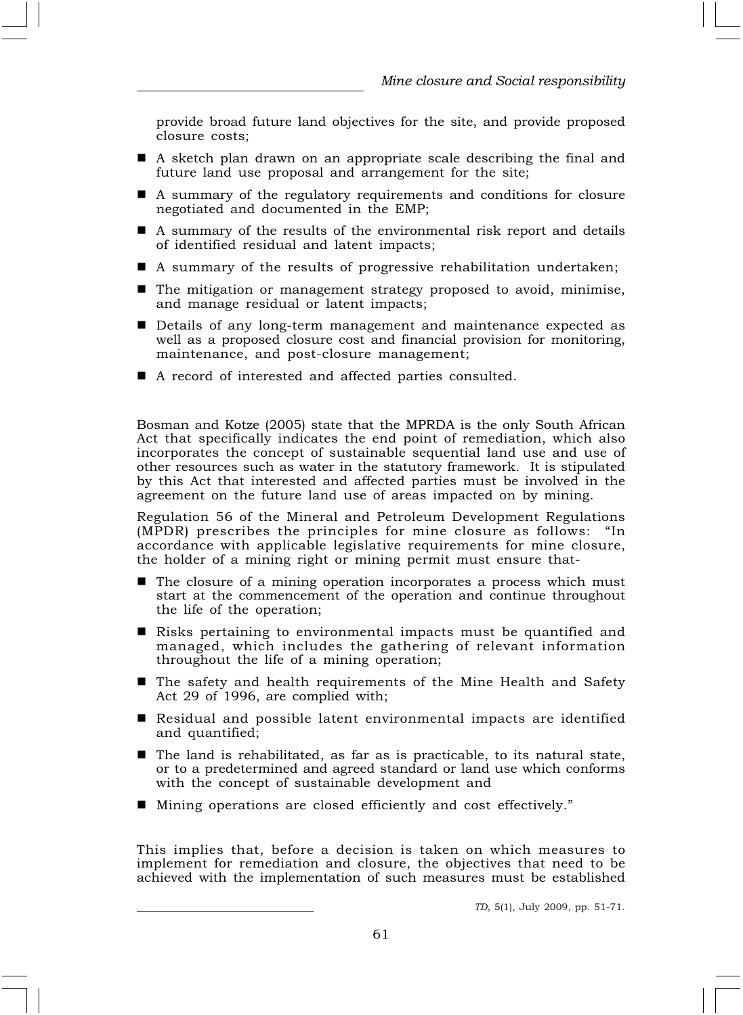provide broad future land objectives for the site, and provide proposed closure costs;

- A sketch plan drawn on an appropriate scale describing the final and future land use proposal and arrangement for the site;
- A summary of the regulatory requirements and conditions for closure negotiated and documented in the EMP;
- A summary of the results of the environmental risk report and details of identified residual and latent impacts;
- A summary of the results of progressive rehabilitation undertaken;
- $\blacksquare$  The mitigation or management strategy proposed to avoid, minimise, and manage residual or latent impacts;
- Details of any long-term management and maintenance expected as well as a proposed closure cost and financial provision for monitoring, maintenance, and post-closure management;
- A record of interested and affected parties consulted.

Bosman and Kotze (2005) state that the MPRDA is the only South African Act that specifically indicates the end point of remediation, which also incorporates the concept of sustainable sequential land use and use of other resources such as water in the statutory framework. It is stipulated by this Act that interested and affected parties must be involved in the agreement on the future land use of areas impacted on by mining.

Regulation 56 of the Mineral and Petroleum Development Regulations (MPDR) prescribes the principles for mine closure as follows: "In accordance with applicable legislative requirements for mine closure, the holder of a mining right or mining permit must ensure that-

- $\blacksquare$  The closure of a mining operation incorporates a process which must start at the commencement of the operation and continue throughout the life of the operation;
- Risks pertaining to environmental impacts must be quantified and managed, which includes the gathering of relevant information throughout the life of a mining operation;
- The safety and health requirements of the Mine Health and Safety Act 29 of 1996, are complied with;
- Residual and possible latent environmental impacts are identified and quantified;
- The land is rehabilitated, as far as is practicable, to its natural state, or to a predetermined and agreed standard or land use which conforms with the concept of sustainable development and
- Mining operations are closed efficiently and cost effectively."

This implies that, before a decision is taken on which measures to implement for remediation and closure, the objectives that need to be achieved with the implementation of such measures must be established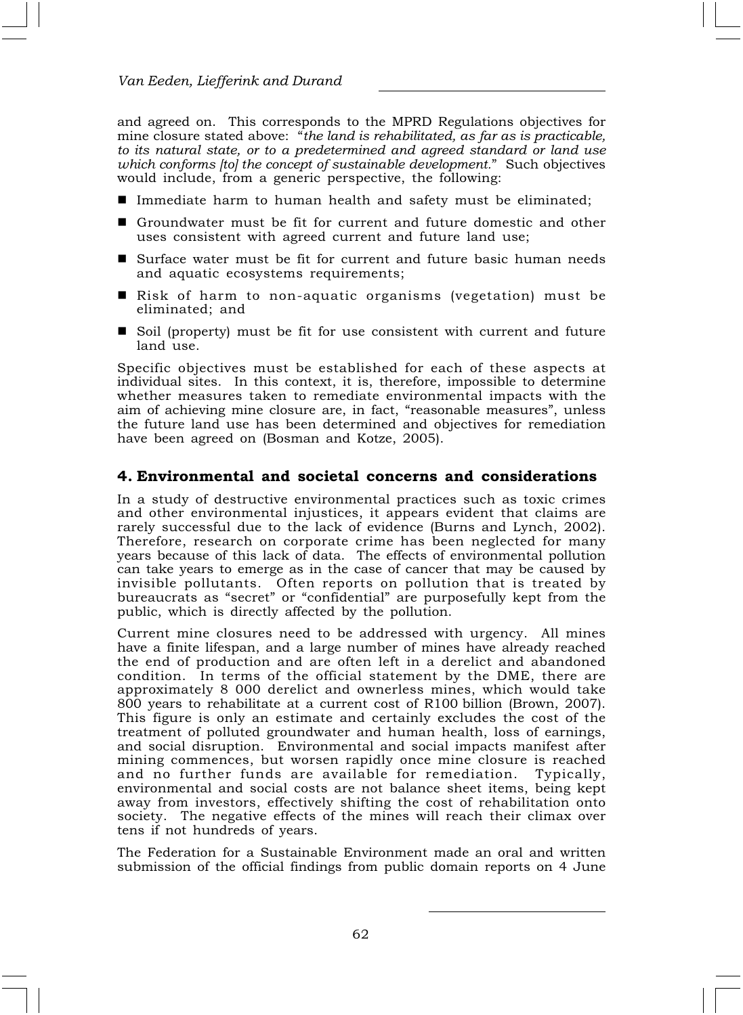and agreed on. This corresponds to the MPRD Regulations objectives for mine closure stated above: "the land is rehabilitated, as far as is practicable, to its natural state, or to a predetermined and agreed standard or land use which conforms [to] the concept of sustainable development." Such objectives would include, from a generic perspective, the following:

- Immediate harm to human health and safety must be eliminated;
- Groundwater must be fit for current and future domestic and other uses consistent with agreed current and future land use;
- Surface water must be fit for current and future basic human needs and aquatic ecosystems requirements;
- Risk of harm to non-aquatic organisms (vegetation) must be eliminated; and
- Soil (property) must be fit for use consistent with current and future land use.

Specific objectives must be established for each of these aspects at individual sites. In this context, it is, therefore, impossible to determine whether measures taken to remediate environmental impacts with the aim of achieving mine closure are, in fact, "reasonable measures", unless the future land use has been determined and objectives for remediation have been agreed on (Bosman and Kotze, 2005).

#### 4. Environmental and societal concerns and considerations

In a study of destructive environmental practices such as toxic crimes and other environmental injustices, it appears evident that claims are rarely successful due to the lack of evidence (Burns and Lynch, 2002). Therefore, research on corporate crime has been neglected for many years because of this lack of data. The effects of environmental pollution can take years to emerge as in the case of cancer that may be caused by invisible pollutants. Often reports on pollution that is treated by bureaucrats as "secret" or "confidential" are purposefully kept from the public, which is directly affected by the pollution.

Current mine closures need to be addressed with urgency. All mines have a finite lifespan, and a large number of mines have already reached the end of production and are often left in a derelict and abandoned condition. In terms of the official statement by the DME, there are approximately 8 000 derelict and ownerless mines, which would take 800 years to rehabilitate at a current cost of R100 billion (Brown, 2007). This figure is only an estimate and certainly excludes the cost of the treatment of polluted groundwater and human health, loss of earnings, and social disruption. Environmental and social impacts manifest after mining commences, but worsen rapidly once mine closure is reached and no further funds are available for remediation. Typically, environmental and social costs are not balance sheet items, being kept away from investors, effectively shifting the cost of rehabilitation onto society. The negative effects of the mines will reach their climax over tens if not hundreds of years.

The Federation for a Sustainable Environment made an oral and written submission of the official findings from public domain reports on 4 June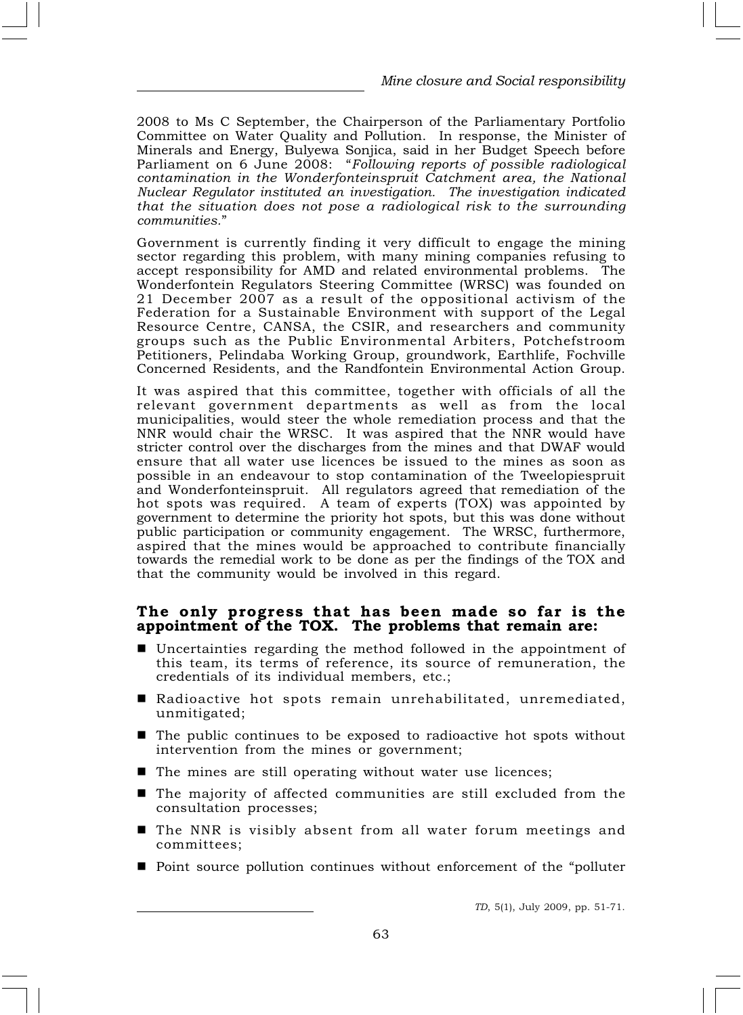2008 to Ms C September, the Chairperson of the Parliamentary Portfolio Committee on Water Quality and Pollution. In response, the Minister of Minerals and Energy, Bulyewa Sonjica, said in her Budget Speech before Parliament on 6 June 2008: "Following reports of possible radiological contamination in the Wonderfonteinspruit Catchment area, the National Nuclear Regulator instituted an investigation. The investigation indicated that the situation does not pose a radiological risk to the surrounding communities."

Government is currently finding it very difficult to engage the mining sector regarding this problem, with many mining companies refusing to accept responsibility for AMD and related environmental problems. The Wonderfontein Regulators Steering Committee (WRSC) was founded on 21 December 2007 as a result of the oppositional activism of the Federation for a Sustainable Environment with support of the Legal Resource Centre, CANSA, the CSIR, and researchers and community groups such as the Public Environmental Arbiters, Potchefstroom Petitioners, Pelindaba Working Group, groundwork, Earthlife, Fochville Concerned Residents, and the Randfontein Environmental Action Group.

It was aspired that this committee, together with officials of all the relevant government departments as well as from the local municipalities, would steer the whole remediation process and that the NNR would chair the WRSC. It was aspired that the NNR would have stricter control over the discharges from the mines and that DWAF would ensure that all water use licences be issued to the mines as soon as possible in an endeavour to stop contamination of the Tweelopiespruit and Wonderfonteinspruit. All regulators agreed that remediation of the hot spots was required. A team of experts (TOX) was appointed by government to determine the priority hot spots, but this was done without public participation or community engagement. The WRSC, furthermore, aspired that the mines would be approached to contribute financially towards the remedial work to be done as per the findings of the TOX and that the community would be involved in this regard.

#### The only progress that has been made so far is the appointment of the TOX. The problems that remain are:

- $\blacksquare$  Uncertainties regarding the method followed in the appointment of this team, its terms of reference, its source of remuneration, the credentials of its individual members, etc.;
- Radioactive hot spots remain unrehabilitated, unremediated, unmitigated;
- $\blacksquare$  The public continues to be exposed to radioactive hot spots without intervention from the mines or government;
- The mines are still operating without water use licences;
- The majority of affected communities are still excluded from the consultation processes;
- The NNR is visibly absent from all water forum meetings and committees;
- Point source pollution continues without enforcement of the "polluter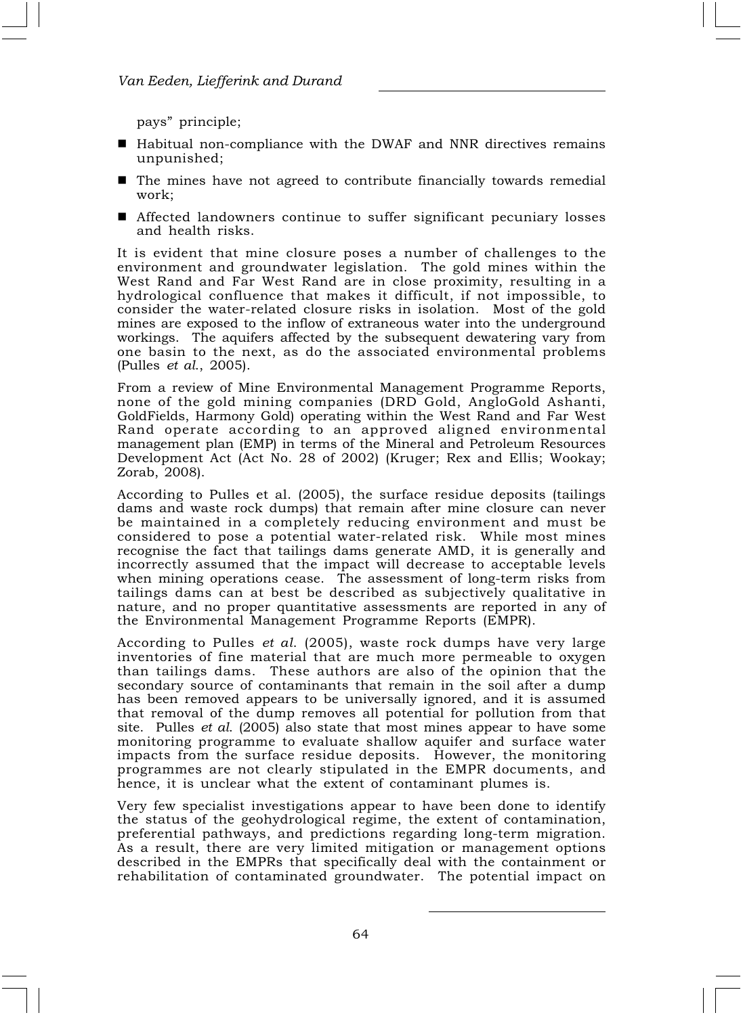pays" principle;

- Habitual non-compliance with the DWAF and NNR directives remains unpunished;
- $\blacksquare$  The mines have not agreed to contribute financially towards remedial work;
- Affected landowners continue to suffer significant pecuniary losses and health risks.

It is evident that mine closure poses a number of challenges to the environment and groundwater legislation. The gold mines within the West Rand and Far West Rand are in close proximity, resulting in a hydrological confluence that makes it difficult, if not impossible, to consider the water-related closure risks in isolation. Most of the gold mines are exposed to the inflow of extraneous water into the underground workings. The aquifers affected by the subsequent dewatering vary from one basin to the next, as do the associated environmental problems (Pulles et al., 2005).

From a review of Mine Environmental Management Programme Reports, none of the gold mining companies (DRD Gold, AngloGold Ashanti, GoldFields, Harmony Gold) operating within the West Rand and Far West Rand operate according to an approved aligned environmental management plan (EMP) in terms of the Mineral and Petroleum Resources Development Act (Act No. 28 of 2002) (Kruger; Rex and Ellis; Wookay; Zorab, 2008).

According to Pulles et al. (2005), the surface residue deposits (tailings dams and waste rock dumps) that remain after mine closure can never be maintained in a completely reducing environment and must be considered to pose a potential water-related risk. While most mines recognise the fact that tailings dams generate AMD, it is generally and incorrectly assumed that the impact will decrease to acceptable levels when mining operations cease. The assessment of long-term risks from tailings dams can at best be described as subjectively qualitative in nature, and no proper quantitative assessments are reported in any of the Environmental Management Programme Reports (EMPR).

According to Pulles et al. (2005), waste rock dumps have very large inventories of fine material that are much more permeable to oxygen than tailings dams. These authors are also of the opinion that the secondary source of contaminants that remain in the soil after a dump has been removed appears to be universally ignored, and it is assumed that removal of the dump removes all potential for pollution from that site. Pulles *et al.* (2005) also state that most mines appear to have some monitoring programme to evaluate shallow aquifer and surface water impacts from the surface residue deposits. However, the monitoring programmes are not clearly stipulated in the EMPR documents, and hence, it is unclear what the extent of contaminant plumes is.

Very few specialist investigations appear to have been done to identify the status of the geohydrological regime, the extent of contamination, preferential pathways, and predictions regarding long-term migration. As a result, there are very limited mitigation or management options described in the EMPRs that specifically deal with the containment or rehabilitation of contaminated groundwater. The potential impact on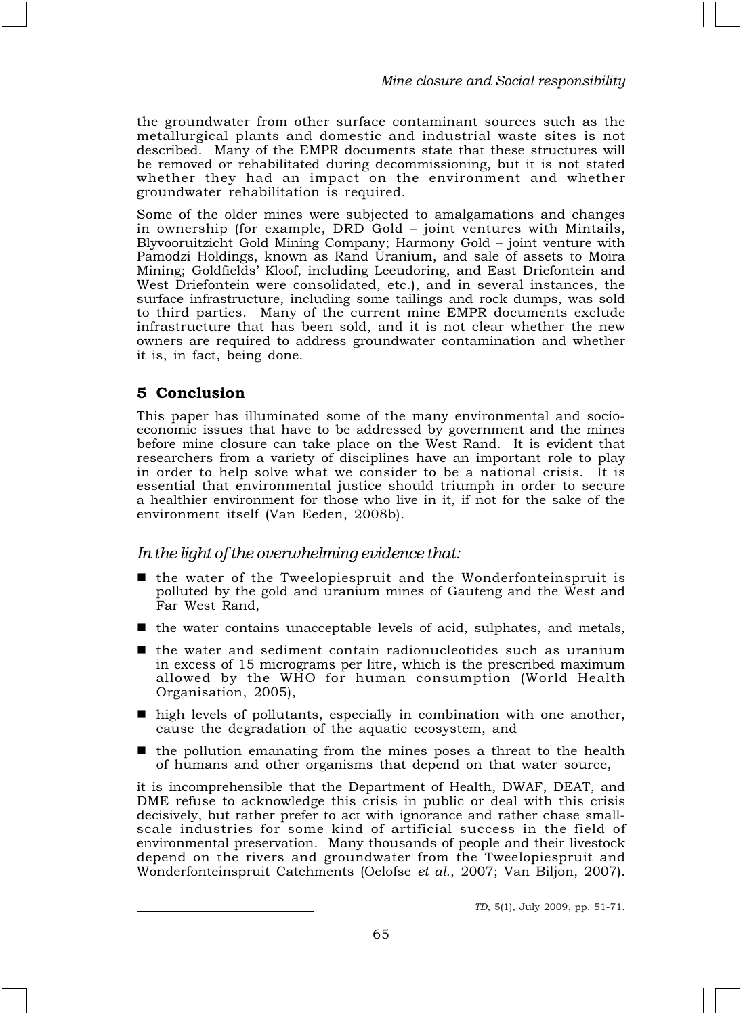the groundwater from other surface contaminant sources such as the metallurgical plants and domestic and industrial waste sites is not described. Many of the EMPR documents state that these structures will be removed or rehabilitated during decommissioning, but it is not stated whether they had an impact on the environment and whether groundwater rehabilitation is required.

Some of the older mines were subjected to amalgamations and changes in ownership (for example, DRD Gold – joint ventures with Mintails, Blyvooruitzicht Gold Mining Company; Harmony Gold – joint venture with Pamodzi Holdings, known as Rand Uranium, and sale of assets to Moira Mining; Goldfields' Kloof, including Leeudoring, and East Driefontein and West Driefontein were consolidated, etc.), and in several instances, the surface infrastructure, including some tailings and rock dumps, was sold to third parties. Many of the current mine EMPR documents exclude infrastructure that has been sold, and it is not clear whether the new owners are required to address groundwater contamination and whether it is, in fact, being done.

## 5 Conclusion

This paper has illuminated some of the many environmental and socioeconomic issues that have to be addressed by government and the mines before mine closure can take place on the West Rand. It is evident that researchers from a variety of disciplines have an important role to play in order to help solve what we consider to be a national crisis. It is essential that environmental justice should triumph in order to secure a healthier environment for those who live in it, if not for the sake of the environment itself (Van Eeden, 2008b).

## In the light of the overwhelming evidence that:

- $\blacksquare$  the water of the Tweelopiespruit and the Wonderfonteinspruit is polluted by the gold and uranium mines of Gauteng and the West and Far West Rand,
- the water contains unacceptable levels of acid, sulphates, and metals,
- the water and sediment contain radionucleotides such as uranium in excess of 15 micrograms per litre, which is the prescribed maximum allowed by the WHO for human consumption (World Health Organisation, 2005),
- $\blacksquare$  high levels of pollutants, especially in combination with one another, cause the degradation of the aquatic ecosystem, and
- $\blacksquare$  the pollution emanating from the mines poses a threat to the health of humans and other organisms that depend on that water source,

it is incomprehensible that the Department of Health, DWAF, DEAT, and DME refuse to acknowledge this crisis in public or deal with this crisis decisively, but rather prefer to act with ignorance and rather chase smallscale industries for some kind of artificial success in the field of environmental preservation. Many thousands of people and their livestock depend on the rivers and groundwater from the Tweelopiespruit and Wonderfonteinspruit Catchments (Oelofse et al., 2007; Van Biljon, 2007).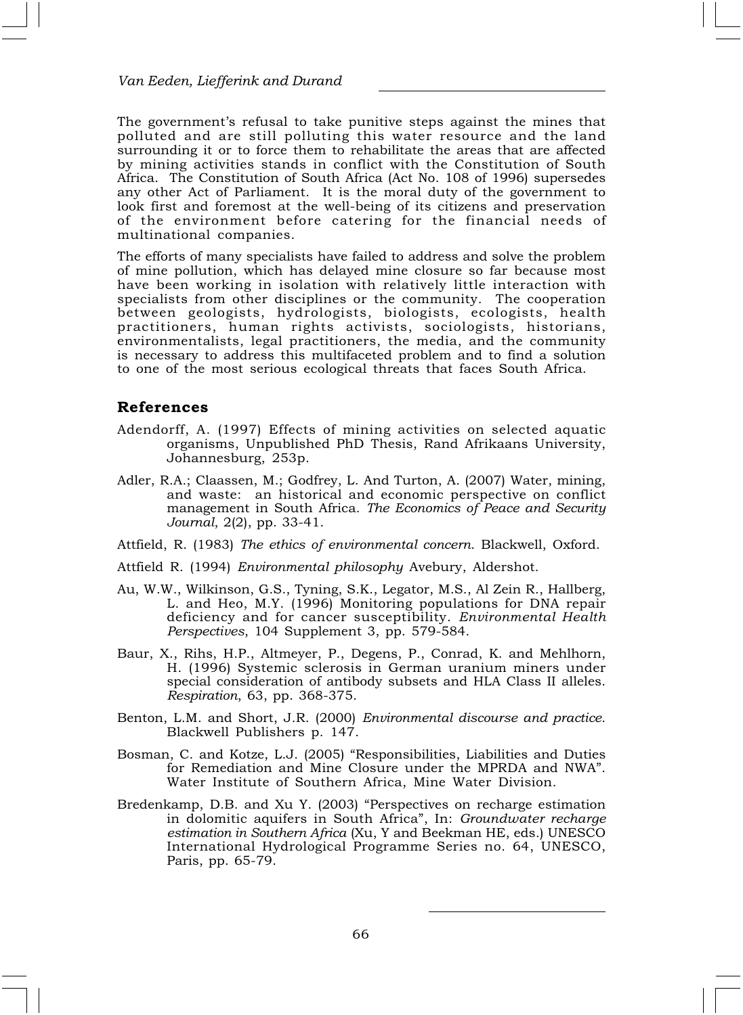The government's refusal to take punitive steps against the mines that polluted and are still polluting this water resource and the land surrounding it or to force them to rehabilitate the areas that are affected by mining activities stands in conflict with the Constitution of South Africa. The Constitution of South Africa (Act No. 108 of 1996) supersedes any other Act of Parliament. It is the moral duty of the government to look first and foremost at the well-being of its citizens and preservation of the environment before catering for the financial needs of multinational companies.

The efforts of many specialists have failed to address and solve the problem of mine pollution, which has delayed mine closure so far because most have been working in isolation with relatively little interaction with specialists from other disciplines or the community. The cooperation between geologists, hydrologists, biologists, ecologists, health practitioners, human rights activists, sociologists, historians, environmentalists, legal practitioners, the media, and the community is necessary to address this multifaceted problem and to find a solution to one of the most serious ecological threats that faces South Africa.

#### References

- Adendorff, A. (1997) Effects of mining activities on selected aquatic organisms, Unpublished PhD Thesis, Rand Afrikaans University, Johannesburg, 253p.
- Adler, R.A.; Claassen, M.; Godfrey, L. And Turton, A. (2007) Water, mining, and waste: an historical and economic perspective on conflict management in South Africa. The Economics of Peace and Security Journal, 2(2), pp. 33-41.
- Attfield, R. (1983) The ethics of environmental concern. Blackwell, Oxford.
- Attfield R. (1994) Environmental philosophy Avebury, Aldershot.
- Au, W.W., Wilkinson, G.S., Tyning, S.K., Legator, M.S., Al Zein R., Hallberg, L. and Heo, M.Y. (1996) Monitoring populations for DNA repair deficiency and for cancer susceptibility. Environmental Health Perspectives, 104 Supplement 3, pp. 579-584.
- Baur, X., Rihs, H.P., Altmeyer, P., Degens, P., Conrad, K. and Mehlhorn, H. (1996) Systemic sclerosis in German uranium miners under special consideration of antibody subsets and HLA Class II alleles. Respiration, 63, pp. 368-375.
- Benton, L.M. and Short, J.R. (2000) Environmental discourse and practice. Blackwell Publishers p. 147.
- Bosman, C. and Kotze, L.J. (2005) "Responsibilities, Liabilities and Duties for Remediation and Mine Closure under the MPRDA and NWA". Water Institute of Southern Africa, Mine Water Division.
- Bredenkamp, D.B. and Xu Y. (2003) "Perspectives on recharge estimation in dolomitic aquifers in South Africa", In: Groundwater recharge estimation in Southern Africa (Xu, Y and Beekman HE, eds.) UNESCO International Hydrological Programme Series no. 64, UNESCO, Paris, pp. 65-79.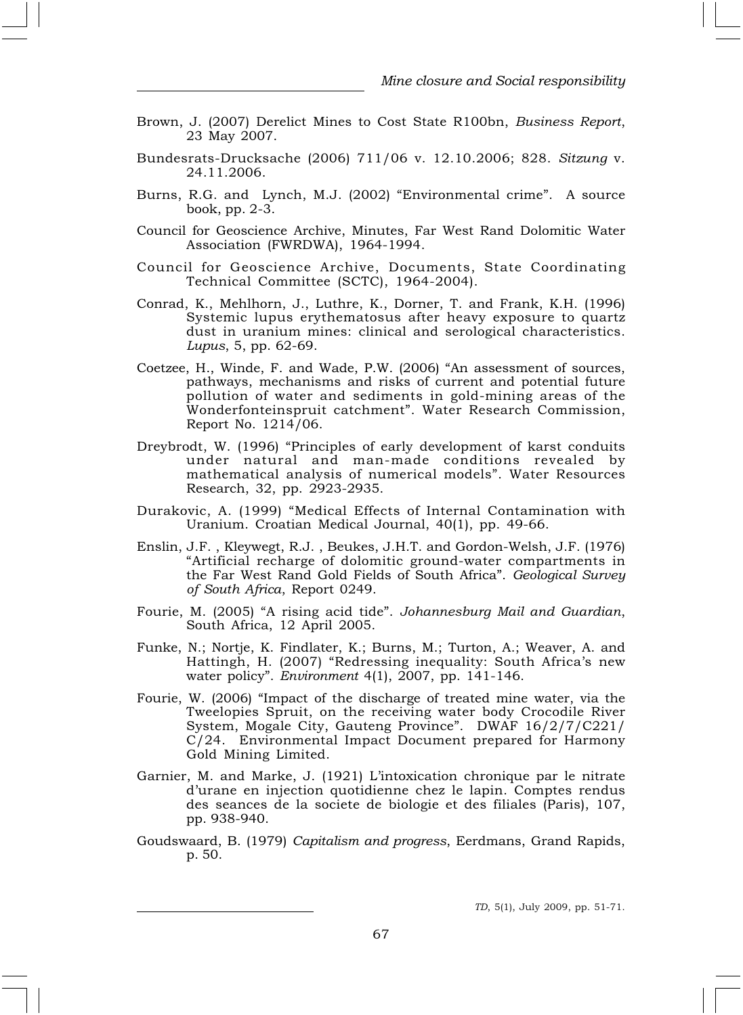- Brown, J. (2007) Derelict Mines to Cost State R100bn, Business Report, 23 May 2007.
- Bundesrats-Drucksache (2006) 711/06 v. 12.10.2006; 828. Sitzung v. 24.11.2006.
- Burns, R.G. and Lynch, M.J. (2002) "Environmental crime". A source book, pp. 2-3.
- Council for Geoscience Archive, Minutes, Far West Rand Dolomitic Water Association (FWRDWA), 1964-1994.
- Council for Geoscience Archive, Documents, State Coordinating Technical Committee (SCTC), 1964-2004).
- Conrad, K., Mehlhorn, J., Luthre, K., Dorner, T. and Frank, K.H. (1996) Systemic lupus erythematosus after heavy exposure to quartz dust in uranium mines: clinical and serological characteristics. Lupus, 5, pp. 62-69.
- Coetzee, H., Winde, F. and Wade, P.W. (2006) "An assessment of sources, pathways, mechanisms and risks of current and potential future pollution of water and sediments in gold-mining areas of the Wonderfonteinspruit catchment". Water Research Commission, Report No. 1214/06.
- Dreybrodt, W. (1996) "Principles of early development of karst conduits under natural and man-made conditions revealed by mathematical analysis of numerical models". Water Resources Research, 32, pp. 2923-2935.
- Durakovic, A. (1999) "Medical Effects of Internal Contamination with Uranium. Croatian Medical Journal, 40(1), pp. 49-66.
- Enslin, J.F. , Kleywegt, R.J. , Beukes, J.H.T. and Gordon-Welsh, J.F. (1976) "Artificial recharge of dolomitic ground-water compartments in the Far West Rand Gold Fields of South Africa". Geological Survey of South Africa, Report 0249.
- Fourie, M. (2005) "A rising acid tide". Johannesburg Mail and Guardian, South Africa, 12 April 2005.
- Funke, N.; Nortje, K. Findlater, K.; Burns, M.; Turton, A.; Weaver, A. and Hattingh, H. (2007) "Redressing inequality: South Africa's new water policy". Environment 4(1), 2007, pp. 141-146.
- Fourie, W. (2006) "Impact of the discharge of treated mine water, via the Tweelopies Spruit, on the receiving water body Crocodile River System, Mogale City, Gauteng Province". DWAF 16/2/7/C221/ C/24. Environmental Impact Document prepared for Harmony Gold Mining Limited.
- Garnier, M. and Marke, J. (1921) L'intoxication chronique par le nitrate d'urane en injection quotidienne chez le lapin. Comptes rendus des seances de la societe de biologie et des filiales (Paris), 107, pp. 938-940.
- Goudswaard, B. (1979) Capitalism and progress, Eerdmans, Grand Rapids, p. 50.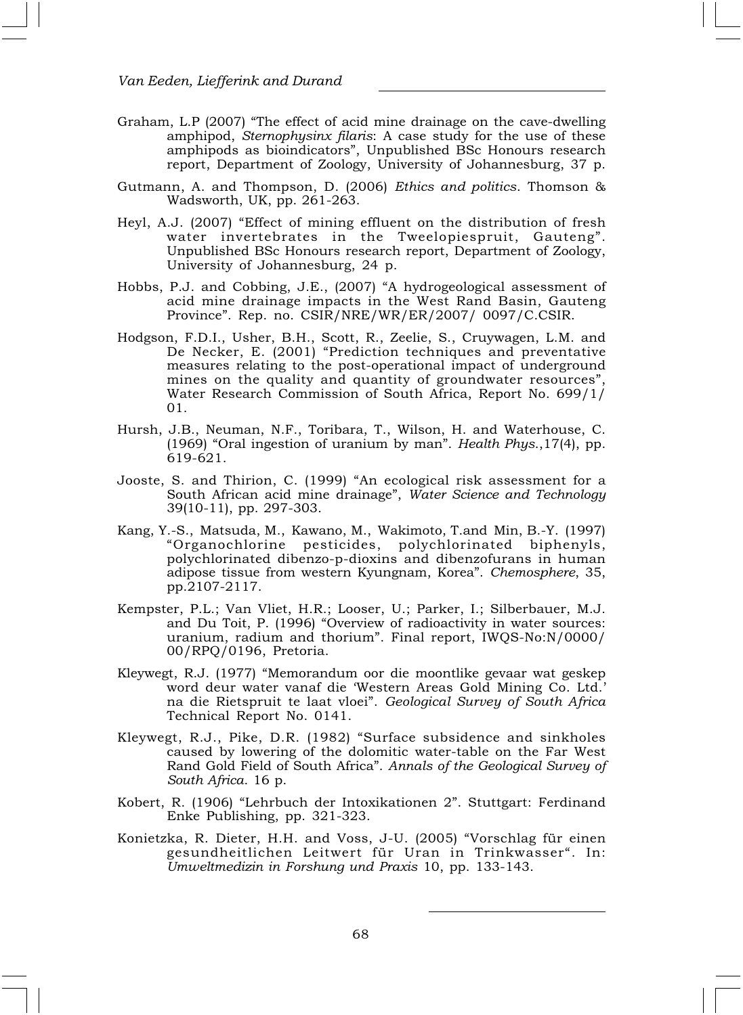- Graham, L.P (2007) "The effect of acid mine drainage on the cave-dwelling amphipod, Sternophysinx filaris: A case study for the use of these amphipods as bioindicators", Unpublished BSc Honours research report, Department of Zoology, University of Johannesburg, 37 p.
- Gutmann, A. and Thompson, D. (2006) Ethics and politics. Thomson & Wadsworth, UK, pp. 261-263.
- Heyl, A.J. (2007) "Effect of mining effluent on the distribution of fresh water invertebrates in the Tweelopiespruit, Gauteng". Unpublished BSc Honours research report, Department of Zoology, University of Johannesburg, 24 p.
- Hobbs, P.J. and Cobbing, J.E., (2007) "A hydrogeological assessment of acid mine drainage impacts in the West Rand Basin, Gauteng Province". Rep. no. CSIR/NRE/WR/ER/2007/ 0097/C.CSIR.
- Hodgson, F.D.I., Usher, B.H., Scott, R., Zeelie, S., Cruywagen, L.M. and De Necker, E. (2001) "Prediction techniques and preventative measures relating to the post-operational impact of underground mines on the quality and quantity of groundwater resources", Water Research Commission of South Africa, Report No. 699/1/ 01.
- Hursh, J.B., Neuman, N.F., Toribara, T., Wilson, H. and Waterhouse, C. (1969) "Oral ingestion of uranium by man". Health Phys.,17(4), pp. 619-621.
- Jooste, S. and Thirion, C. (1999) "An ecological risk assessment for a South African acid mine drainage", Water Science and Technology 39(10-11), pp. 297-303.
- Kang, Y.-S., Matsuda, M., Kawano, M., Wakimoto, T.and Min, B.-Y. (1997) "Organochlorine pesticides, polychlorinated biphenyls, polychlorinated dibenzo-p-dioxins and dibenzofurans in human adipose tissue from western Kyungnam, Korea". Chemosphere, 35, pp.2107-2117.
- Kempster, P.L.; Van Vliet, H.R.; Looser, U.; Parker, I.; Silberbauer, M.J. and Du Toit, P. (1996) "Overview of radioactivity in water sources: uranium, radium and thorium". Final report, IWQS-No:N/0000/ 00/RPQ/0196, Pretoria.
- Kleywegt, R.J. (1977) "Memorandum oor die moontlike gevaar wat geskep word deur water vanaf die 'Western Areas Gold Mining Co. Ltd.' na die Rietspruit te laat vloei". Geological Survey of South Africa Technical Report No. 0141.
- Kleywegt, R.J., Pike, D.R. (1982) "Surface subsidence and sinkholes caused by lowering of the dolomitic water-table on the Far West Rand Gold Field of South Africa". Annals of the Geological Survey of South Africa. 16 p.
- Kobert, R. (1906) "Lehrbuch der Intoxikationen 2". Stuttgart: Ferdinand Enke Publishing, pp. 321-323.
- Konietzka, R. Dieter, H.H. and Voss, J-U. (2005) "Vorschlag für einen gesundheitlichen Leitwert für Uran in Trinkwasser". In: Umweltmedizin in Forshung und Praxis 10, pp. 133-143.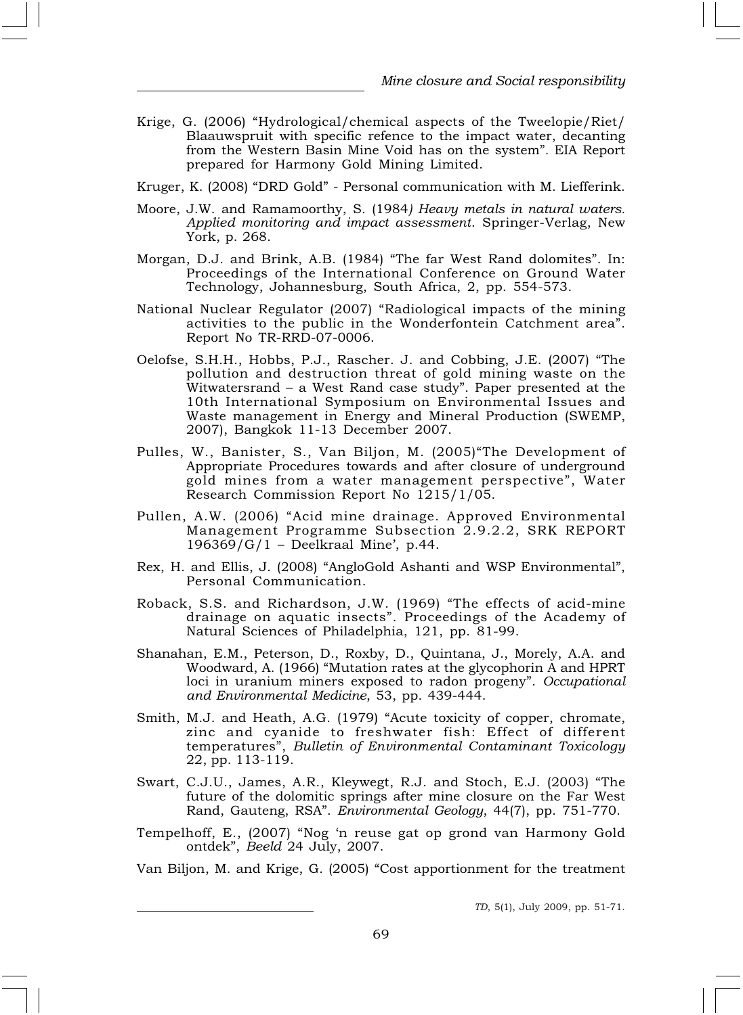- Krige, G. (2006) "Hydrological/chemical aspects of the Tweelopie/Riet/ Blaauwspruit with specific refence to the impact water, decanting from the Western Basin Mine Void has on the system". EIA Report prepared for Harmony Gold Mining Limited.
- Kruger, K. (2008) "DRD Gold" Personal communication with M. Liefferink.
- Moore, J.W. and Ramamoorthy, S. (1984) Heavy metals in natural waters. Applied monitoring and impact assessment. Springer-Verlag, New York, p. 268.
- Morgan, D.J. and Brink, A.B. (1984) "The far West Rand dolomites". In: Proceedings of the International Conference on Ground Water Technology, Johannesburg, South Africa, 2, pp. 554-573.
- National Nuclear Regulator (2007) "Radiological impacts of the mining activities to the public in the Wonderfontein Catchment area". Report No TR-RRD-07-0006.
- Oelofse, S.H.H., Hobbs, P.J., Rascher. J. and Cobbing, J.E. (2007) "The pollution and destruction threat of gold mining waste on the Witwatersrand - a West Rand case study". Paper presented at the 10th International Symposium on Environmental Issues and Waste management in Energy and Mineral Production (SWEMP, 2007), Bangkok 11-13 December 2007.
- Pulles, W., Banister, S., Van Biljon, M. (2005)"The Development of Appropriate Procedures towards and after closure of underground gold mines from a water management perspective", Water Research Commission Report No 1215/1/05.
- Pullen, A.W. (2006) "Acid mine drainage. Approved Environmental Management Programme Subsection 2.9.2.2, SRK REPORT 196369/G/1 – Deelkraal Mine', p.44.
- Rex, H. and Ellis, J. (2008) "AngloGold Ashanti and WSP Environmental", Personal Communication.
- Roback, S.S. and Richardson, J.W. (1969) "The effects of acid-mine drainage on aquatic insects". Proceedings of the Academy of Natural Sciences of Philadelphia, 121, pp. 81-99.
- Shanahan, E.M., Peterson, D., Roxby, D., Quintana, J., Morely, A.A. and Woodward, A. (1966) "Mutation rates at the glycophorin A and HPRT loci in uranium miners exposed to radon progeny". Occupational and Environmental Medicine, 53, pp. 439-444.
- Smith, M.J. and Heath, A.G. (1979) "Acute toxicity of copper, chromate, zinc and cyanide to freshwater fish: Effect of different temperatures", Bulletin of Environmental Contaminant Toxicology 22, pp. 113-119.
- Swart, C.J.U., James, A.R., Kleywegt, R.J. and Stoch, E.J. (2003) "The future of the dolomitic springs after mine closure on the Far West Rand, Gauteng, RSA". Environmental Geology, 44(7), pp. 751-770.
- Tempelhoff, E., (2007) "Nog 'n reuse gat op grond van Harmony Gold ontdek", Beeld 24 July, 2007.

Van Biljon, M. and Krige, G. (2005) "Cost apportionment for the treatment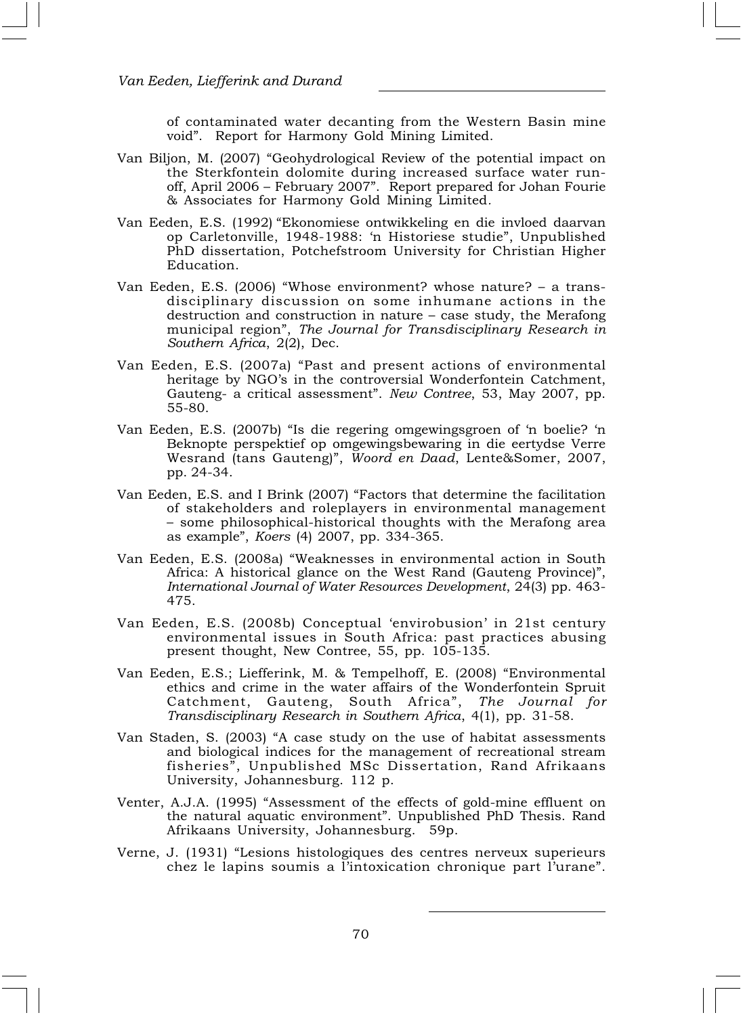of contaminated water decanting from the Western Basin mine void". Report for Harmony Gold Mining Limited.

- Van Biljon, M. (2007) "Geohydrological Review of the potential impact on the Sterkfontein dolomite during increased surface water runoff, April 2006 – February 2007". Report prepared for Johan Fourie & Associates for Harmony Gold Mining Limited.
- Van Eeden, E.S. (1992) "Ekonomiese ontwikkeling en die invloed daarvan op Carletonville, 1948-1988: 'n Historiese studie", Unpublished PhD dissertation, Potchefstroom University for Christian Higher Education.
- Van Eeden, E.S. (2006) "Whose environment? whose nature? a transdisciplinary discussion on some inhumane actions in the destruction and construction in nature – case study, the Merafong municipal region", The Journal for Transdisciplinary Research in Southern Africa, 2(2), Dec.
- Van Eeden, E.S. (2007a) "Past and present actions of environmental heritage by NGO's in the controversial Wonderfontein Catchment, Gauteng- a critical assessment". New Contree, 53, May 2007, pp. 55-80.
- Van Eeden, E.S. (2007b) "Is die regering omgewingsgroen of 'n boelie? 'n Beknopte perspektief op omgewingsbewaring in die eertydse Verre Wesrand (tans Gauteng)", Woord en Daad, Lente&Somer, 2007, pp. 24-34.
- Van Eeden, E.S. and I Brink (2007) "Factors that determine the facilitation of stakeholders and roleplayers in environmental management – some philosophical-historical thoughts with the Merafong area as example", Koers (4) 2007, pp. 334-365.
- Van Eeden, E.S. (2008a) "Weaknesses in environmental action in South Africa: A historical glance on the West Rand (Gauteng Province)", International Journal of Water Resources Development, 24(3) pp. 463- 475.
- Van Eeden, E.S. (2008b) Conceptual 'envirobusion' in 21st century environmental issues in South Africa: past practices abusing present thought, New Contree, 55, pp. 105-135.
- Van Eeden, E.S.; Liefferink, M. & Tempelhoff, E. (2008) "Environmental ethics and crime in the water affairs of the Wonderfontein Spruit Catchment, Gauteng, South Africa", The Journal for Transdisciplinary Research in Southern Africa, 4(1), pp. 31-58.
- Van Staden, S. (2003) "A case study on the use of habitat assessments and biological indices for the management of recreational stream fisheries", Unpublished MSc Dissertation, Rand Afrikaans University, Johannesburg. 112 p.
- Venter, A.J.A. (1995) "Assessment of the effects of gold-mine effluent on the natural aquatic environment". Unpublished PhD Thesis. Rand Afrikaans University, Johannesburg. 59p.
- Verne, J. (1931) "Lesions histologiques des centres nerveux superieurs chez le lapins soumis a l'intoxication chronique part l'urane".